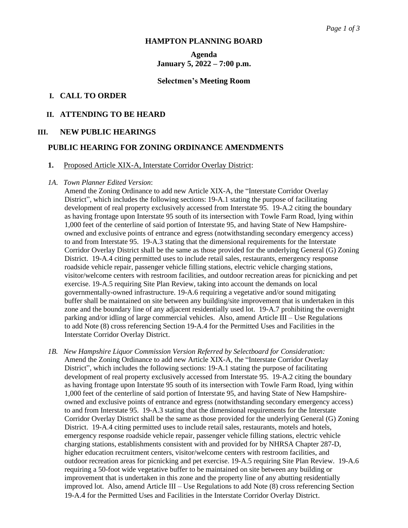#### **HAMPTON PLANNING BOARD**

# **Agenda January 5, 2022 – 7:00 p.m.**

#### **Selectmen's Meeting Room**

### **I. CALL TO ORDER**

#### **II. ATTENDING TO BE HEARD**

### **III. NEW PUBLIC HEARINGS**

### **PUBLIC HEARING FOR ZONING ORDINANCE AMENDMENTS**

#### **1.** Proposed Article XIX-A, Interstate Corridor Overlay District:

#### *1A*. *Town Planner Edited Version*:

 Amend the Zoning Ordinance to add new Article XIX-A, the "Interstate Corridor Overlay District", which includes the following sections: 19-A.1 stating the purpose of facilitating development of real property exclusively accessed from Interstate 95. 19-A.2 citing the boundary as having frontage upon Interstate 95 south of its intersection with Towle Farm Road, lying within 1,000 feet of the centerline of said portion of Interstate 95, and having State of New Hampshire owned and exclusive points of entrance and egress (notwithstanding secondary emergency access) to and from Interstate 95. 19-A.3 stating that the dimensional requirements for the Interstate Corridor Overlay District shall be the same as those provided for the underlying General (G) Zoning District. 19-A.4 citing permitted uses to include retail sales, restaurants, emergency response roadside vehicle repair, passenger vehicle filling stations, electric vehicle charging stations, visitor/welcome centers with restroom facilities, and outdoor recreation areas for picnicking and pet exercise. 19-A.5 requiring Site Plan Review, taking into account the demands on local governmentally-owned infrastructure. 19-A.6 requiring a vegetative and/or sound mitigating buffer shall be maintained on site between any building/site improvement that is undertaken in this zone and the boundary line of any adjacent residentially used lot. 19-A.7 prohibiting the overnight parking and/or idling of large commercial vehicles. Also, amend Article III – Use Regulations to add Note (8) cross referencing Section 19-A.4 for the Permitted Uses and Facilities in the Interstate Corridor Overlay District.

*1B. New Hampshire Liquor Commission Version Referred by Selectboard for Consideration:* Amend the Zoning Ordinance to add new Article XIX-A, the "Interstate Corridor Overlay District", which includes the following sections: 19-A.1 stating the purpose of facilitating development of real property exclusively accessed from Interstate 95. 19-A.2 citing the boundary as having frontage upon Interstate 95 south of its intersection with Towle Farm Road, lying within 1,000 feet of the centerline of said portion of Interstate 95, and having State of New Hampshire owned and exclusive points of entrance and egress (notwithstanding secondary emergency access) to and from Interstate 95. 19-A.3 stating that the dimensional requirements for the Interstate Corridor Overlay District shall be the same as those provided for the underlying General (G) Zoning District. 19-A.4 citing permitted uses to include retail sales, restaurants, motels and hotels, emergency response roadside vehicle repair, passenger vehicle filling stations, electric vehicle charging stations, establishments consistent with and provided for by NHRSA Chapter 287-D, higher education recruitment centers, visitor/welcome centers with restroom facilities, and outdoor recreation areas for picnicking and pet exercise. 19-A.5 requiring Site Plan Review. 19-A.6 requiring a 50-foot wide vegetative buffer to be maintained on site between any building or improvement that is undertaken in this zone and the property line of any abutting residentially improved lot. Also, amend Article III – Use Regulations to add Note (8) cross referencing Section 19-A.4 for the Permitted Uses and Facilities in the Interstate Corridor Overlay District.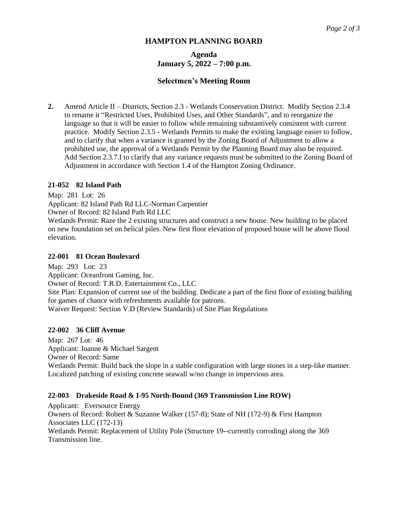### **HAMPTON PLANNING BOARD**

# **Agenda January 5, 2022 – 7:00 p.m.**

### **Selectmen's Meeting Room**

**2.** Amend Article II – Districts, Section 2.3 - Wetlands Conservation District. Modify Section 2.3.4 to rename it "Restricted Uses, Prohibited Uses, and Other Standards", and to reorganize the language so that it will be easier to follow while remaining substantively consistent with current practice. Modify Section 2.3.5 - Wetlands Permits to make the existing language easier to follow, and to clarify that when a variance is granted by the Zoning Board of Adjustment to allow a prohibited use, the approval of a Wetlands Permit by the Planning Board may also be required. Add Section 2.3.7.I to clarify that any variance requests must be submitted to the Zoning Board of Adjustment in accordance with Section 1.4 of the Hampton Zoning Ordinance.

### **21-052 82 Island Path**

Map: 281 Lot: 26

Applicant: 82 Island Path Rd LLC-Norman Carpentier

Owner of Record: 82 Island Path Rd LLC

Wetlands Permit: Raze the 2 existing structures and construct a new house. New building to be placed on new foundation set on helical piles. New first floor elevation of proposed house will be above flood elevation.

### **22-001 81 Ocean Boulevard**

Map: 293 Lot: 23 Applicant: Oceanfront Gaming, Inc.

Owner of Record: T.R.D. Entertainment Co., LLC

Site Plan: Expansion of current use of the building. Dedicate a part of the first floor of existing building for games of chance with refreshments available for patrons.

Waiver Request: Section V.D (Review Standards) of Site Plan Regulations

### **22-002 36 Cliff Avenue**

Map: 267 Lot: 46 Applicant: Joanne & Michael Sargent Owner of Record: Same Wetlands Permit: Build back the slope in a stable configuration with large stones in a step-like manner. Localized patching of existing concrete seawall w/no change in impervious area.

### **22-003 Drakeside Road & I-95 North-Bound (369 Transmission Line ROW)**

Applicant: Eversource Energy Owners of Record: Robert & Suzanne Walker (157-8); State of NH (172-9) & First Hampton Associates LLC (172-13) Wetlands Permit: Replacement of Utility Pole (Structure 19--currently corroding) along the 369 Transmission line.